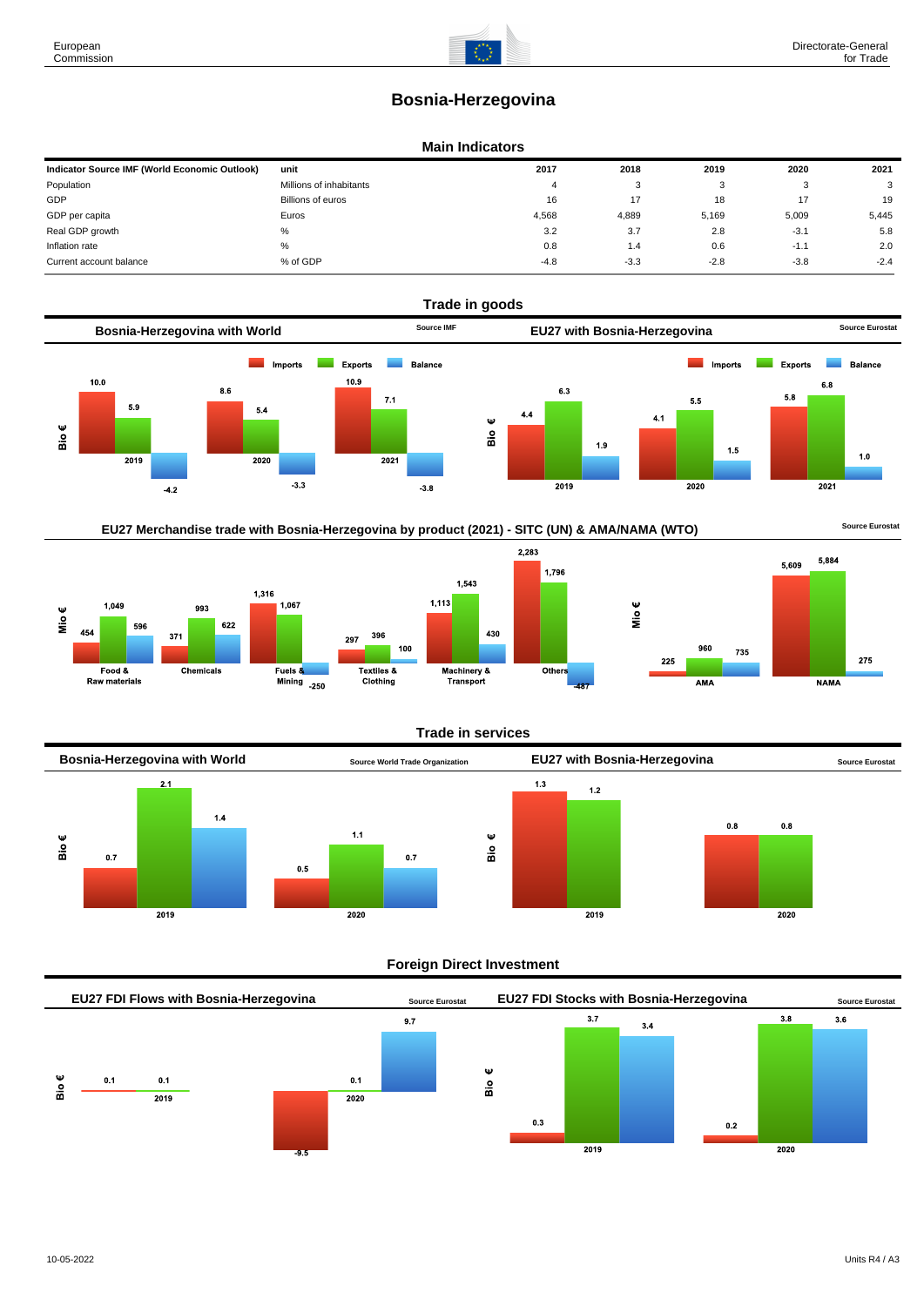# **Bosnia-Herzegovina**

#### **Main Indicators**

| Indicator Source IMF (World Economic Outlook) | unit                    | 2017   | 2018   | 2019   | 2020   | 2021   |
|-----------------------------------------------|-------------------------|--------|--------|--------|--------|--------|
| Population                                    | Millions of inhabitants |        | ົ<br>ີ |        | -37    | 3      |
| GDP                                           | Billions of euros       | 16     |        | 18     |        | 19     |
| GDP per capita                                | Euros                   | 4.568  | 4,889  | 5,169  | 5.009  | 5,445  |
| Real GDP growth                               | ℅                       | 3.2    | 3.7    | 2.8    | $-3.1$ | 5.8    |
| Inflation rate                                | %                       | 0.8    | 1.4    | 0.6    | $-1.1$ | 2.0    |
| Current account balance                       | % of GDP                | $-4.8$ | $-3.3$ | $-2.8$ | $-3.8$ | $-2.4$ |



EU27 Merchandise trade with Bosnia-Herzegovina by product (2021) - SITC (UN) & AMA/NAMA (WTO) **Source Eurostat** 





## **Trade in services**



## **Foreign Direct Investment**